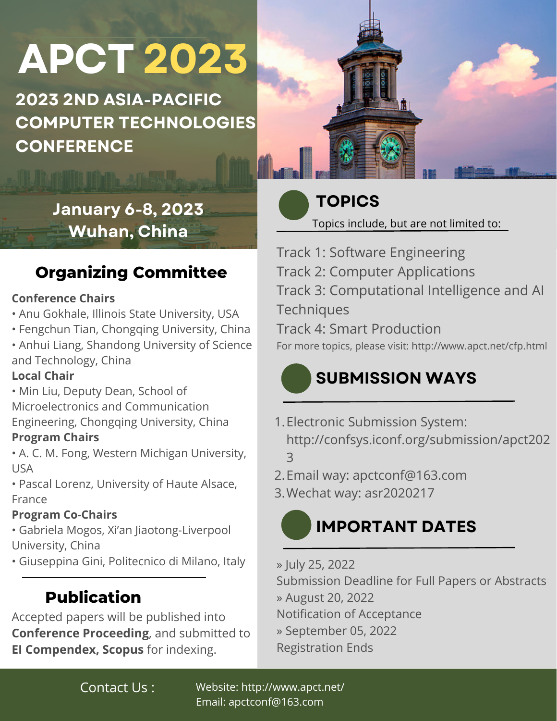# **APCT 2023**

**2023 2ND ASIA-PACIFIC COMPUTER TECHNOLOGIES CONFERENCE**

> **January 6-8, 2023 Wuhan, China**

### **Organizing Committee**

### **Conference Chairs**

- Anu Gokhale, Illinois State University, USA
- Fengchun Tian, Chongqing University, China
- Anhui Liang, Shandong University of Science and Technology, China

### **Local Chair**

• Min Liu, Deputy Dean, School of Microelectronics and Communication Engineering, Chongqing University, China

### **Program Chairs**

- A. C. M. Fong, Western Michigan University, USA
- Pascal Lorenz, University of Haute Alsace, France

### **Program Co-Chairs**

- Gabriela Mogos, Xi'an Jiaotong-Liverpool University, China
- Giuseppina Gini, Politecnico di Milano, Italy

### **Publication**

Accepted papers will be published into **Conference Proceeding**, and submitted to **EI Compendex, Scopus** for indexing.





### **TOPICS**

Topics include, but are not limited to:

Track 1: Software Engineering Track 2: Computer Applications Track 3: Computational Intelligence and AI **Techniques** Track 4: Smart Production For more topics, please visit: http://www.apct.net/cfp.html

# **SUBMISSION WAYS**

- Electronic Submission System: 1. http://confsys.iconf.org/submission/apct202 3
- Email way: [apctconf@163.com](mailto:apctconf@163.com) 2.
- Wechat way: asr2020217 3.

# **IMPORTANT DATES**

» July 25, 2022 Submission Deadline for Full Papers or Abstracts » August 20, 2022 Notification of Acceptance » September 05, 2022 Registration Ends

### Contact Us :